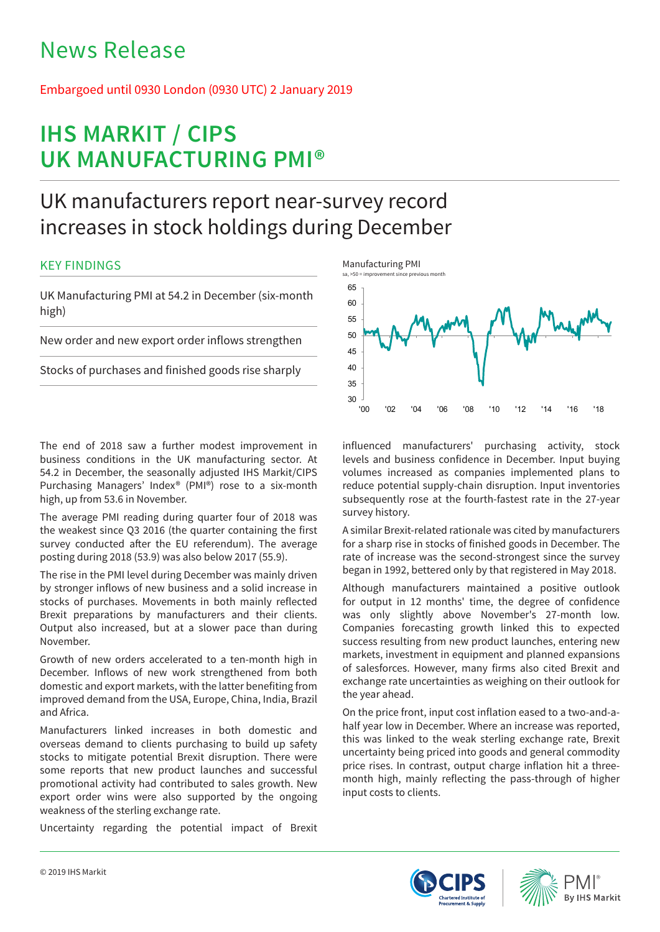# News Release

# Embargoed until 0930 London (0930 UTC) 2 January 2019

# **IHS MARKIT / CIPS UK MANUFACTURING PMI®**

# UK manufacturers report near-survey record increases in stock holdings during December

# KEY FINDINGS

UK Manufacturing PMI at 54.2 in December (six-month high)

New order and new export order inflows strengthen

Stocks of purchases and finished goods rise sharply

The end of 2018 saw a further modest improvement in business conditions in the UK manufacturing sector. At 54.2 in December, the seasonally adjusted IHS Markit/CIPS Purchasing Managers' Index® (PMI®) rose to a six-month high, up from 53.6 in November.

The average PMI reading during quarter four of 2018 was the weakest since Q3 2016 (the quarter containing the first survey conducted after the EU referendum). The average posting during 2018 (53.9) was also below 2017 (55.9).

The rise in the PMI level during December was mainly driven by stronger inflows of new business and a solid increase in stocks of purchases. Movements in both mainly reflected Brexit preparations by manufacturers and their clients. Output also increased, but at a slower pace than during November.

Growth of new orders accelerated to a ten-month high in December. Inflows of new work strengthened from both domestic and export markets, with the latter benefiting from improved demand from the USA, Europe, China, India, Brazil and Africa.

Manufacturers linked increases in both domestic and overseas demand to clients purchasing to build up safety stocks to mitigate potential Brexit disruption. There were some reports that new product launches and successful promotional activity had contributed to sales growth. New export order wins were also supported by the ongoing weakness of the sterling exchange rate.

Uncertainty regarding the potential impact of Brexit



influenced manufacturers' purchasing activity, stock levels and business confidence in December. Input buying volumes increased as companies implemented plans to reduce potential supply-chain disruption. Input inventories subsequently rose at the fourth-fastest rate in the 27-year survey history.

A similar Brexit-related rationale was cited by manufacturers for a sharp rise in stocks of finished goods in December. The rate of increase was the second-strongest since the survey began in 1992, bettered only by that registered in May 2018.

Although manufacturers maintained a positive outlook for output in 12 months' time, the degree of confidence was only slightly above November's 27-month low. Companies forecasting growth linked this to expected success resulting from new product launches, entering new markets, investment in equipment and planned expansions of salesforces. However, many firms also cited Brexit and exchange rate uncertainties as weighing on their outlook for the year ahead.

On the price front, input cost inflation eased to a two-and-ahalf year low in December. Where an increase was reported, this was linked to the weak sterling exchange rate, Brexit uncertainty being priced into goods and general commodity price rises. In contrast, output charge inflation hit a threemonth high, mainly reflecting the pass-through of higher input costs to clients.



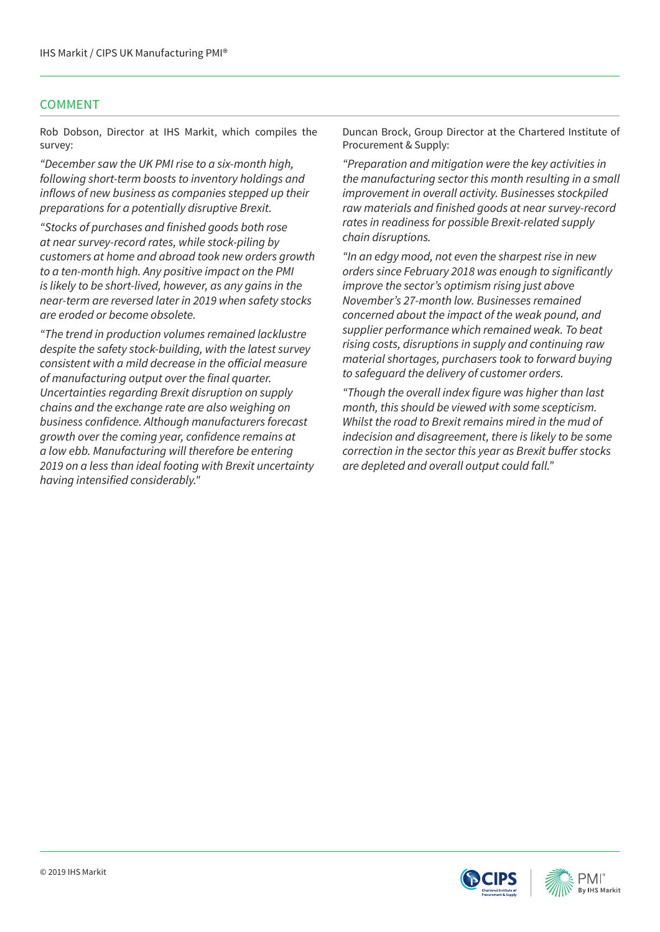## COMMENT

Rob Dobson, Director at IHS Markit, which compiles the survey:

*"December saw the UK PMI rise to a six-month high, following short-term boosts to inventory holdings and*  inflows of new business as companies stepped up their preparations for a potentially disruptive Brexit.

"Stocks of purchases and finished goods both rose at near survey-record rates, while stock-piling by customers at home and abroad took new orders growth to a ten-month high. Any positive impact on the PMI *is likely to be short-lived, however, as any gains in the near-term are reversed later in 2019 when safety stocks*  are eroded or become obsolete.

"The trend in production volumes remained lacklustre despite the safety stock-building, with the latest survey consistent with a mild decrease in the official measure of manufacturing output over the final quarter. Uncertainties regarding Brexit disruption on supply *chains and the exchange rate are also weighing on*  business confidence. Although manufacturers forecast growth over the coming year, confidence remains at a low ebb. Manufacturing will therefore be entering 2019 on a less than ideal footing with Brexit uncertainty having intensified considerably."

Duncan Brock, Group Director at the Chartered Institute of Procurement & Supply:

"Preparation and mitigation were the key activities in the manufacturing sector this month resulting in a small improvement in overall activity. Businesses stockpiled raw materials and finished goods at near survey-record rates in readiness for possible Brexit-related supply chain disruptions.

"In an edgy mood, not even the sharpest rise in new orders since February 2018 was enough to significantly improve the sector's optimism rising just above November's 27-month low. Businesses remained concerned about the impact of the weak pound, and supplier performance which remained weak. To beat rising costs, disruptions in supply and continuing raw material shortages, purchasers took to forward buying to safeguard the delivery of customer orders.

"Though the overall index figure was higher than last month, this should be viewed with some scepticism. Whilst the road to Brexit remains mired in the mud of *indecision and disagreement, there is likely to be some*  correction in the sector this year as Brexit buffer stocks are depleted and overall output could fall."